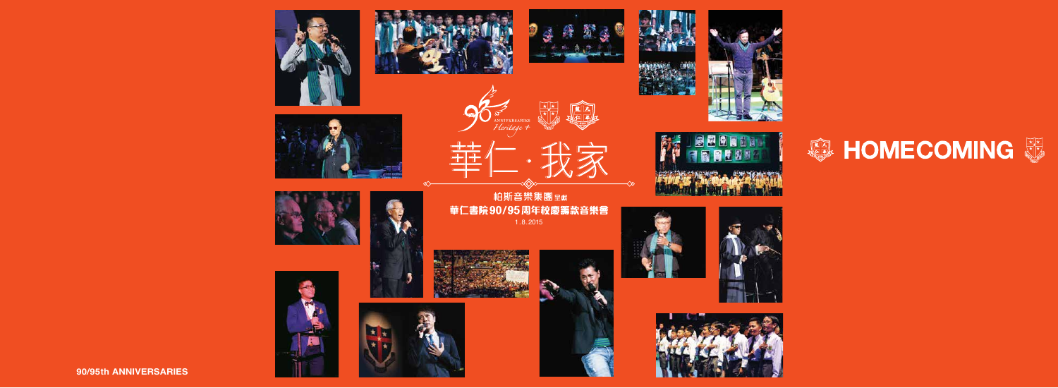













**90/95th ANNIVERSARIES**













帕斯音樂集團<sub>呈獻</sub> 華仁書院90/95周年校慶籌款音樂會 1.8.2015